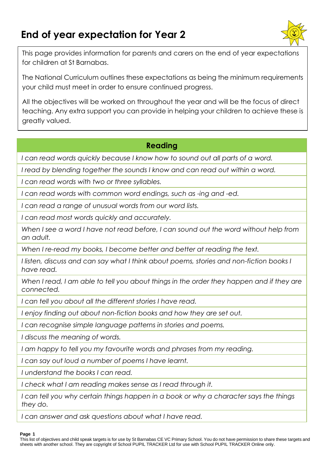# **End of year expectation for Year 2**



This page provides information for parents and carers on the end of year expectations for children at St Barnabas.

The National Curriculum outlines these expectations as being the minimum requirements your child must meet in order to ensure continued progress.

All the objectives will be worked on throughout the year and will be the focus of direct teaching. Any extra support you can provide in helping your children to achieve these is greatly valued.

## **Reading**

*I can read words quickly because I know how to sound out all parts of a word.*

*I read by blending together the sounds I know and can read out within a word.*

*I can read words with two or three syllables.*

*I can read words with common word endings, such as -ing and -ed.*

*I can read a range of unusual words from our word lists.*

*I can read most words quickly and accurately.*

*When I see a word I have not read before, I can sound out the word without help from an adult.*

*When I re-read my books, I become better and better at reading the text.*

*I listen, discuss and can say what I think about poems, stories and non-fiction books I have read.*

When I read, I am able to tell you about things in the order they happen and if they are *connected.*

*I can tell you about all the different stories I have read.*

*I enjoy finding out about non-fiction books and how they are set out.*

*I can recognise simple language patterns in stories and poems.*

*I discuss the meaning of words.*

*I am happy to tell you my favourite words and phrases from my reading.*

*I can say out loud a number of poems I have learnt.*

*I understand the books I can read.*

*I check what I am reading makes sense as I read through it.*

*I can tell you why certain things happen in a book or why a character says the things they do.*

*I can answer and ask questions about what I have read.*

### **Page 1**

This list of objectives and child speak targets is for use by St Barnabas CE VC Primary School. You do not have permission to share these targets and sheets with another school. They are copyright of School PUPIL TRACKER Ltd for use with School PUPIL TRACKER Online only.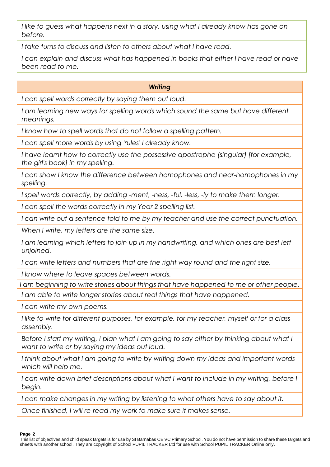*I like to guess what happens next in a story, using what I already know has gone on before.*

*I take turns to discuss and listen to others about what I have read.*

*I can explain and discuss what has happened in books that either I have read or have been read to me.*

### *Writing*

*I can spell words correctly by saying them out loud.*

I am learning new ways for spelling words which sound the same but have different *meanings.*

*I know how to spell words that do not follow a spelling pattern.*

*I can spell more words by using 'rules' I already know.*

*I have learnt how to correctly use the possessive apostrophe (singular) [for example, the girl's book] in my spelling.*

*I can show I know the difference between homophones and near-homophones in my spelling.*

*I spell words correctly, by adding -ment, -ness, -ful, -less, -ly to make them longer.*

*I can spell the words correctly in my Year 2 spelling list.*

*I can write out a sentence told to me by my teacher and use the correct punctuation.*

*When I write, my letters are the same size.*

*I am learning which letters to join up in my handwriting, and which ones are best left unjoined.*

*I can write letters and numbers that are the right way round and the right size.*

*I know where to leave spaces between words.*

*I am beginning to write stories about things that have happened to me or other people.*

*I am able to write longer stories about real things that have happened.*

*I can write my own poems.*

*I like to write for different purposes, for example, for my teacher, myself or for a class assembly.*

*Before I start my writing, I plan what I am going to say either by thinking about what I want to write or by saying my ideas out loud.*

*I think about what I am going to write by writing down my ideas and important words which will help me.*

*I can write down brief descriptions about what I want to include in my writing, before I begin.*

*I can make changes in my writing by listening to what others have to say about it.*

*Once finished, I will re-read my work to make sure it makes sense.*

**Page 2**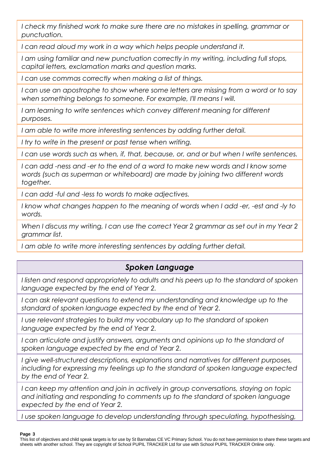I check my finished work to make sure there are no mistakes in spelling, grammar or *punctuation.*

*I can read aloud my work in a way which helps people understand it.*

*I am using familiar and new punctuation correctly in my writing, including full stops, capital letters, exclamation marks and question marks.*

*I can use commas correctly when making a list of things.*

*I can use an apostrophe to show where some letters are missing from a word or to say when something belongs to someone. For example, I'll means I will.*

*I am learning to write sentences which convey different meaning for different purposes.*

I am able to write more interesting sentences by adding further detail.

*I try to write in the present or past tense when writing.*

*I can use words such as when, if, that, because, or, and or but when I write sentences.*

*I can add -ness and -er to the end of a word to make new words and I know some words (such as superman or whiteboard) are made by joining two different words together.*

*I can add -ful and -less to words to make adjectives.*

*I know what changes happen to the meaning of words when I add -er, -est and -ly to words.*

*When I discuss my writing, I can use the correct Year 2 grammar as set out in my Year 2 grammar list.*

*I am able to write more interesting sentences by adding further detail.*

# *Spoken Language*

*I listen and respond appropriately to adults and his peers up to the standard of spoken language expected by the end of Year 2.*

*I can ask relevant questions to extend my understanding and knowledge up to the standard of spoken language expected by the end of Year 2.*

*I* use relevant strategies to build my vocabulary up to the standard of spoken *language expected by the end of Year 2.*

*I* can articulate and justify answers, arguments and opinions up to the standard of *spoken language expected by the end of Year 2.*

*I give well-structured descriptions, explanations and narratives for different purposes, including for expressing my feelings up to the standard of spoken language expected by the end of Year 2.*

I can keep my attention and join in actively in group conversations, staying on topic *and initiating and responding to comments up to the standard of spoken language expected by the end of Year 2.*

*I use spoken language to develop understanding through speculating, hypothesising,* 

### **Page 3**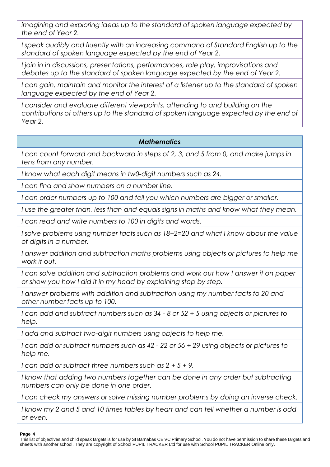*imagining and exploring ideas up to the standard of spoken language expected by the end of Year 2.*

*I speak audibly and fluently with an increasing command of Standard English up to the standard of spoken language expected by the end of Year 2.*

*I join in in discussions, presentations, performances, role play, improvisations and debates up to the standard of spoken language expected by the end of Year 2.*

*I can gain, maintain and monitor the interest of a listener up to the standard of spoken language expected by the end of Year 2.*

*I* consider and evaluate different viewpoints, attending to and building on the *contributions of others up to the standard of spoken language expected by the end of Year 2.*

### *Mathematics*

*I can count forward and backward in steps of 2, 3, and 5 from 0, and make jumps in tens from any number.*

*I know what each digit means in tw0-digit numbers such as 24.*

*I can find and show numbers on a number line.*

*I can order numbers up to 100 and tell you which numbers are bigger or smaller.*

*I use the greater than, less than and equals signs in maths and know what they mean.*

*I can read and write numbers to 100 in digits and words.*

*I solve problems using number facts such as 18+2=20 and what I know about the value of digits in a number.*

I answer addition and subtraction maths problems using objects or pictures to help me *work it out.*

*I can solve addition and subtraction problems and work out how I answer it on paper or show you how I did it in my head by explaining step by step.*

*I answer problems with addition and subtraction using my number facts to 20 and other number facts up to 100.*

*I can add and subtract numbers such as 34 - 8 or 52 + 5 using objects or pictures to help.*

*I add and subtract two-digit numbers using objects to help me.*

*I can add or subtract numbers such as 42 - 22 or 56 + 29 using objects or pictures to help me.*

*I can add or subtract three numbers such as 2 + 5 + 9.*

*I know that adding two numbers together can be done in any order but subtracting numbers can only be done in one order.*

*I can check my answers or solve missing number problems by doing an inverse check.*

*I know my 2 and 5 and 10 times tables by heart and can tell whether a number is odd or even.*

### **Page 4**

This list of objectives and child speak targets is for use by St Barnabas CE VC Primary School. You do not have permission to share these targets and sheets with another school. They are copyright of School PUPIL TRACKER Ltd for use with School PUPIL TRACKER Online only.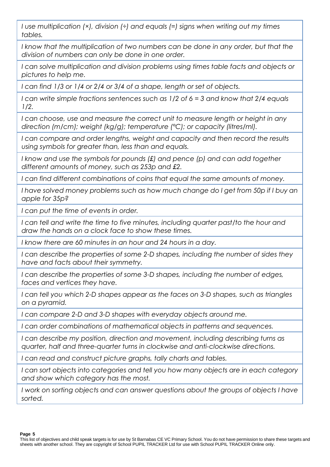*I use multiplication (×), division (÷) and equals (=) signs when writing out my times tables.*

*I* know that the multiplication of two numbers can be done in any order, but that the *division of numbers can only be done in one order.*

*I can solve multiplication and division problems using times table facts and objects or pictures to help me.*

*I can find 1/3 or 1/4 or 2/4 or 3/4 of a shape, length or set of objects.*

*I can write simple fractions sentences such as 1/2 of 6 = 3 and know that 2/4 equals 1/2.*

*I can choose, use and measure the correct unit to measure length or height in any direction (m/cm); weight (kg/g); temperature (°C); or capacity (litres/ml).*

*I can compare and order lengths, weight and capacity and then record the results using symbols for greater than, less than and equals.*

*I* know and use the symbols for pounds (£) and pence (p) and can add together *different amounts of money, such as 253p and £2.*

*I can find different combinations of coins that equal the same amounts of money.*

I have solved money problems such as how much change do I get from 50p if I buy an *apple for 35p?*

*I can put the time of events in order.*

*I can tell and write the time to five minutes, including quarter past/to the hour and draw the hands on a clock face to show these times.*

*I know there are 60 minutes in an hour and 24 hours in a day.*

*I can describe the properties of some 2-D shapes, including the number of sides they have and facts about their symmetry.*

*I can describe the properties of some 3-D shapes, including the number of edges, faces and vertices they have.*

*I can tell you which 2-D shapes appear as the faces on 3-D shapes, such as triangles on a pyramid.*

*I can compare 2-D and 3-D shapes with everyday objects around me.*

*I can order combinations of mathematical objects in patterns and sequences.*

*I can describe my position, direction and movement, including describing turns as quarter, half and three-quarter turns in clockwise and anti-clockwise directions.*

*I can read and construct picture graphs, tally charts and tables.*

*I can sort objects into categories and tell you how many objects are in each category and show which category has the most.*

*I* work on sorting objects and can answer questions about the groups of objects I have *sorted.*